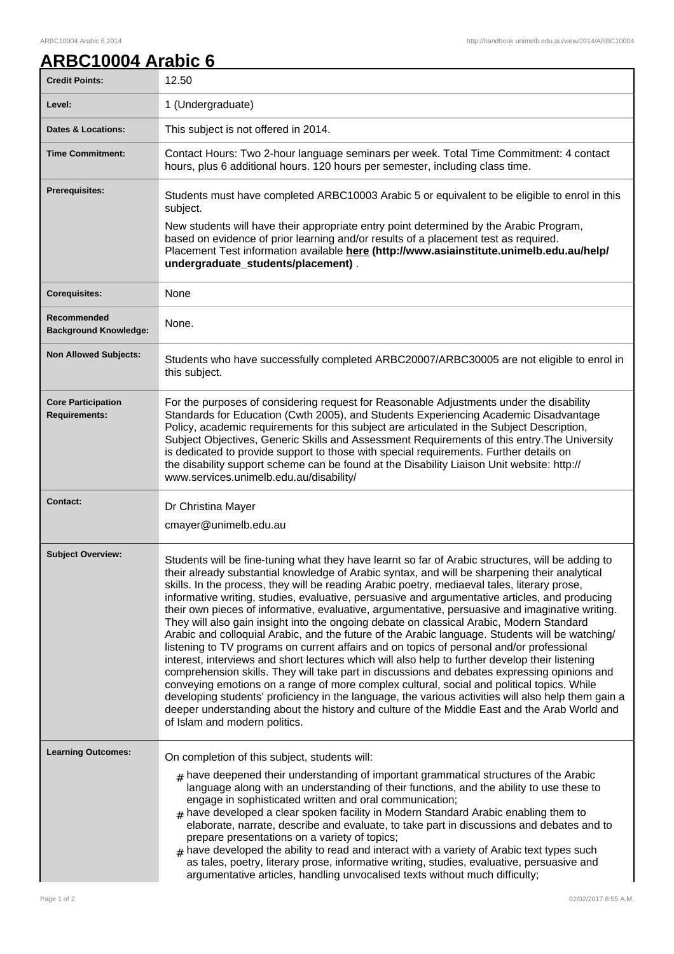## **ARBC10004 Arabic 6**

| <b>Credit Points:</b>                             | 12.50                                                                                                                                                                                                                                                                                                                                                                                                                                                                                                                                                                                                                                                                                                                                                                                                                                                                                                                                                                                                                                                                                                                                                                                                                                                                                                                                        |
|---------------------------------------------------|----------------------------------------------------------------------------------------------------------------------------------------------------------------------------------------------------------------------------------------------------------------------------------------------------------------------------------------------------------------------------------------------------------------------------------------------------------------------------------------------------------------------------------------------------------------------------------------------------------------------------------------------------------------------------------------------------------------------------------------------------------------------------------------------------------------------------------------------------------------------------------------------------------------------------------------------------------------------------------------------------------------------------------------------------------------------------------------------------------------------------------------------------------------------------------------------------------------------------------------------------------------------------------------------------------------------------------------------|
| Level:                                            | 1 (Undergraduate)                                                                                                                                                                                                                                                                                                                                                                                                                                                                                                                                                                                                                                                                                                                                                                                                                                                                                                                                                                                                                                                                                                                                                                                                                                                                                                                            |
| <b>Dates &amp; Locations:</b>                     | This subject is not offered in 2014.                                                                                                                                                                                                                                                                                                                                                                                                                                                                                                                                                                                                                                                                                                                                                                                                                                                                                                                                                                                                                                                                                                                                                                                                                                                                                                         |
| <b>Time Commitment:</b>                           | Contact Hours: Two 2-hour language seminars per week. Total Time Commitment: 4 contact<br>hours, plus 6 additional hours. 120 hours per semester, including class time.                                                                                                                                                                                                                                                                                                                                                                                                                                                                                                                                                                                                                                                                                                                                                                                                                                                                                                                                                                                                                                                                                                                                                                      |
| <b>Prerequisites:</b>                             | Students must have completed ARBC10003 Arabic 5 or equivalent to be eligible to enrol in this<br>subject.                                                                                                                                                                                                                                                                                                                                                                                                                                                                                                                                                                                                                                                                                                                                                                                                                                                                                                                                                                                                                                                                                                                                                                                                                                    |
|                                                   | New students will have their appropriate entry point determined by the Arabic Program,<br>based on evidence of prior learning and/or results of a placement test as required.<br>Placement Test information available here (http://www.asiainstitute.unimelb.edu.au/help/<br>undergraduate_students/placement).                                                                                                                                                                                                                                                                                                                                                                                                                                                                                                                                                                                                                                                                                                                                                                                                                                                                                                                                                                                                                              |
| <b>Corequisites:</b>                              | None                                                                                                                                                                                                                                                                                                                                                                                                                                                                                                                                                                                                                                                                                                                                                                                                                                                                                                                                                                                                                                                                                                                                                                                                                                                                                                                                         |
| Recommended<br><b>Background Knowledge:</b>       | None.                                                                                                                                                                                                                                                                                                                                                                                                                                                                                                                                                                                                                                                                                                                                                                                                                                                                                                                                                                                                                                                                                                                                                                                                                                                                                                                                        |
| <b>Non Allowed Subjects:</b>                      | Students who have successfully completed ARBC20007/ARBC30005 are not eligible to enrol in<br>this subject.                                                                                                                                                                                                                                                                                                                                                                                                                                                                                                                                                                                                                                                                                                                                                                                                                                                                                                                                                                                                                                                                                                                                                                                                                                   |
| <b>Core Participation</b><br><b>Requirements:</b> | For the purposes of considering request for Reasonable Adjustments under the disability<br>Standards for Education (Cwth 2005), and Students Experiencing Academic Disadvantage<br>Policy, academic requirements for this subject are articulated in the Subject Description,<br>Subject Objectives, Generic Skills and Assessment Requirements of this entry. The University<br>is dedicated to provide support to those with special requirements. Further details on<br>the disability support scheme can be found at the Disability Liaison Unit website: http://<br>www.services.unimelb.edu.au/disability/                                                                                                                                                                                                                                                                                                                                                                                                                                                                                                                                                                                                                                                                                                                             |
| <b>Contact:</b>                                   | Dr Christina Mayer<br>cmayer@unimelb.edu.au                                                                                                                                                                                                                                                                                                                                                                                                                                                                                                                                                                                                                                                                                                                                                                                                                                                                                                                                                                                                                                                                                                                                                                                                                                                                                                  |
| <b>Subject Overview:</b>                          | Students will be fine-tuning what they have learnt so far of Arabic structures, will be adding to<br>their already substantial knowledge of Arabic syntax, and will be sharpening their analytical<br>skills. In the process, they will be reading Arabic poetry, mediaeval tales, literary prose,<br>informative writing, studies, evaluative, persuasive and argumentative articles, and producing<br>their own pieces of informative, evaluative, argumentative, persuasive and imaginative writing.<br>They will also gain insight into the ongoing debate on classical Arabic, Modern Standard<br>Arabic and colloquial Arabic, and the future of the Arabic language. Students will be watching/<br>listening to TV programs on current affairs and on topics of personal and/or professional<br>interest, interviews and short lectures which will also help to further develop their listening<br>comprehension skills. They will take part in discussions and debates expressing opinions and<br>conveying emotions on a range of more complex cultural, social and political topics. While<br>developing students' proficiency in the language, the various activities will also help them gain a<br>deeper understanding about the history and culture of the Middle East and the Arab World and<br>of Islam and modern politics. |
| <b>Learning Outcomes:</b>                         | On completion of this subject, students will:<br>$#$ have deepened their understanding of important grammatical structures of the Arabic<br>language along with an understanding of their functions, and the ability to use these to<br>engage in sophisticated written and oral communication;<br>$#$ have developed a clear spoken facility in Modern Standard Arabic enabling them to<br>elaborate, narrate, describe and evaluate, to take part in discussions and debates and to<br>prepare presentations on a variety of topics;<br>$#$ have developed the ability to read and interact with a variety of Arabic text types such<br>as tales, poetry, literary prose, informative writing, studies, evaluative, persuasive and<br>argumentative articles, handling unvocalised texts without much difficulty;                                                                                                                                                                                                                                                                                                                                                                                                                                                                                                                          |